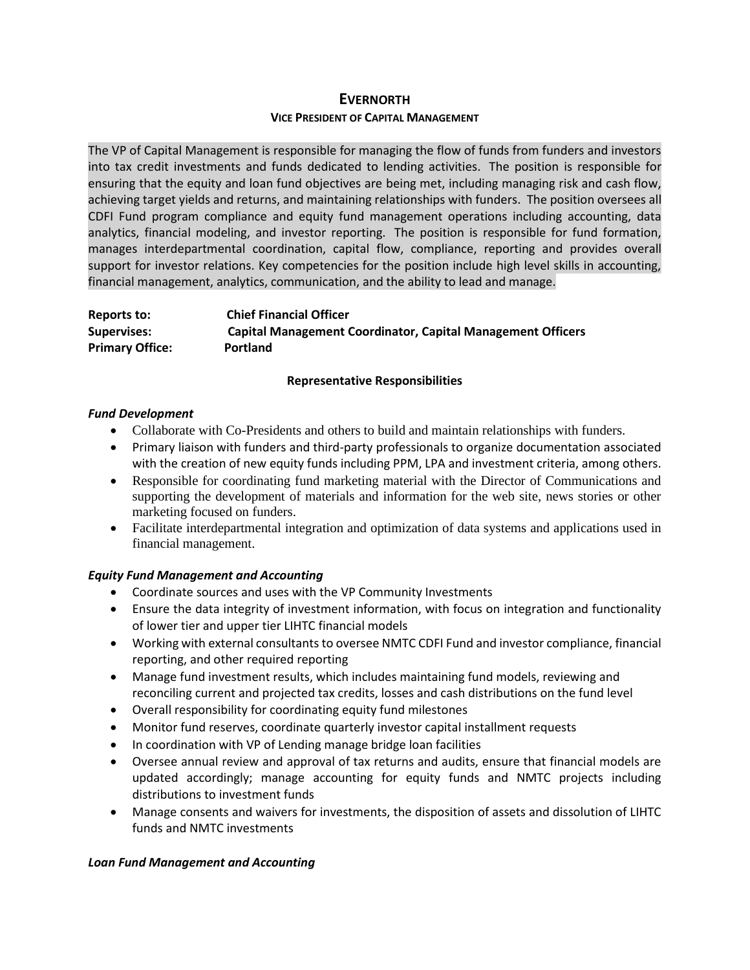# **EVERNORTH VICE PRESIDENT OF CAPITAL MANAGEMENT**

The VP of Capital Management is responsible for managing the flow of funds from funders and investors into tax credit investments and funds dedicated to lending activities. The position is responsible for ensuring that the equity and loan fund objectives are being met, including managing risk and cash flow, achieving target yields and returns, and maintaining relationships with funders. The position oversees all CDFI Fund program compliance and equity fund management operations including accounting, data analytics, financial modeling, and investor reporting. The position is responsible for fund formation, manages interdepartmental coordination, capital flow, compliance, reporting and provides overall support for investor relations. Key competencies for the position include high level skills in accounting, financial management, analytics, communication, and the ability to lead and manage.

**Reports to: Chief Financial Officer Supervises: Capital Management Coordinator, Capital Management Officers Primary Office: Portland**

## **Representative Responsibilities**

## *Fund Development*

- Collaborate with Co-Presidents and others to build and maintain relationships with funders.
- Primary liaison with funders and third-party professionals to organize documentation associated with the creation of new equity funds including PPM, LPA and investment criteria, among others.
- Responsible for coordinating fund marketing material with the Director of Communications and supporting the development of materials and information for the web site, news stories or other marketing focused on funders.
- Facilitate interdepartmental integration and optimization of data systems and applications used in financial management.

# *Equity Fund Management and Accounting*

- Coordinate sources and uses with the VP Community Investments
- Ensure the data integrity of investment information, with focus on integration and functionality of lower tier and upper tier LIHTC financial models
- Working with external consultants to oversee NMTC CDFI Fund and investor compliance, financial reporting, and other required reporting
- Manage fund investment results, which includes maintaining fund models, reviewing and reconciling current and projected tax credits, losses and cash distributions on the fund level
- Overall responsibility for coordinating equity fund milestones
- Monitor fund reserves, coordinate quarterly investor capital installment requests
- In coordination with VP of Lending manage bridge loan facilities
- Oversee annual review and approval of tax returns and audits, ensure that financial models are updated accordingly; manage accounting for equity funds and NMTC projects including distributions to investment funds
- Manage consents and waivers for investments, the disposition of assets and dissolution of LIHTC funds and NMTC investments

# *Loan Fund Management and Accounting*